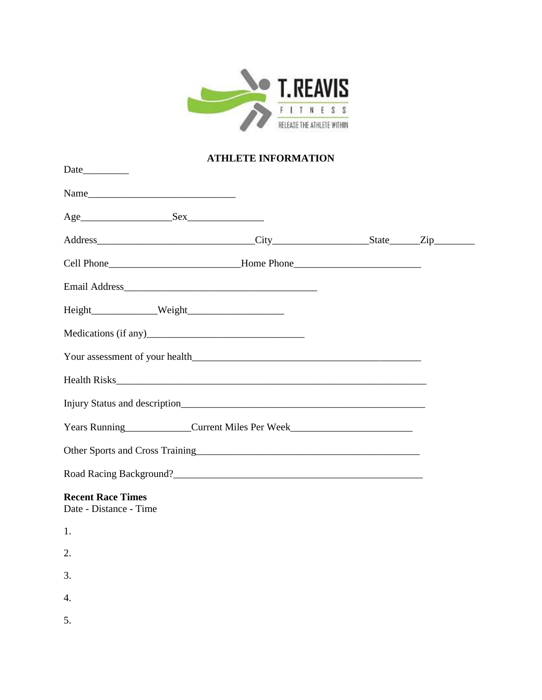

## **ATHLETE INFORMATION**

| Cell Phone__________________________________Home Phone__________________________ |  |  |  |
|----------------------------------------------------------------------------------|--|--|--|
|                                                                                  |  |  |  |
|                                                                                  |  |  |  |
|                                                                                  |  |  |  |
|                                                                                  |  |  |  |
|                                                                                  |  |  |  |
|                                                                                  |  |  |  |
| Years Running<br><u>Current Miles Per Week</u><br>Current Miles Per Week         |  |  |  |
|                                                                                  |  |  |  |
|                                                                                  |  |  |  |
| <b>Recent Race Times</b><br>Date - Distance - Time                               |  |  |  |
| 1.                                                                               |  |  |  |
| 2.                                                                               |  |  |  |
| 3.                                                                               |  |  |  |
| 4.                                                                               |  |  |  |
| 5.                                                                               |  |  |  |